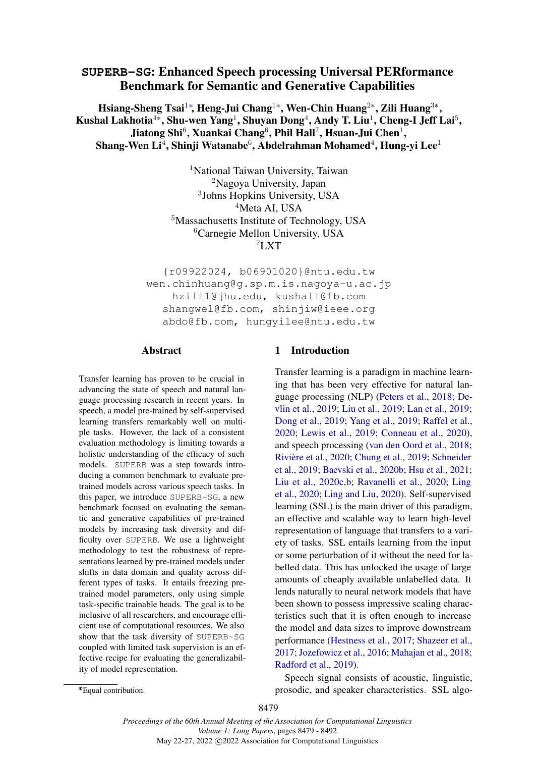# <span id="page-0-0"></span>**SUPERB-SG**: Enhanced Speech processing Universal PERformance Benchmark for Semantic and Generative Capabilities

Hsiang-Sheng Tsai $^1$ \*, Heng-Jui Chang $^{1*}$ , Wen-Chin Huang $^{2*}$ , Zili Huang $^{3*}$ , Kushal Lakhotia $^{4*}$ , Shu-wen Yang $^{1}$ , Shuyan Dong $^{4}$ , Andy T. Liu $^{1}$ , Cheng-I Jeff Lai $^{5}$ , Jiatong Shi $^6$ , Xuankai Chang $^6$ , Phil Hall $^7$ , Hsuan-Jui Chen $^1,$ Shang-Wen Li $^4$ , Shinji Watanabe $^6$ , Abdelrahman Mohamed $^4$ , Hung-yi Lee $^1$ 

> <sup>1</sup>National Taiwan University, Taiwan <sup>2</sup>Nagoya University, Japan 3 Johns Hopkins University, USA <sup>4</sup>Meta AI, USA <sup>5</sup>Massachusetts Institute of Technology, USA <sup>6</sup>Carnegie Mellon University, USA <sup>7</sup>LXT

{r09922024, b06901020}@ntu.edu.tw wen.chinhuang@g.sp.m.is.nagoya-u.ac.jp hzili1@jhu.edu, kushall@fb.com shangwel@fb.com, shinjiw@ieee.org abdo@fb.com, hungyilee@ntu.edu.tw

### Abstract

Transfer learning has proven to be crucial in advancing the state of speech and natural language processing research in recent years. In speech, a model pre-trained by self-supervised learning transfers remarkably well on multiple tasks. However, the lack of a consistent evaluation methodology is limiting towards a holistic understanding of the efficacy of such models. SUPERB was a step towards introducing a common benchmark to evaluate pretrained models across various speech tasks. In this paper, we introduce SUPERB-SG, a new benchmark focused on evaluating the semantic and generative capabilities of pre-trained models by increasing task diversity and difficulty over SUPERB. We use a lightweight methodology to test the robustness of representations learned by pre-trained models under shifts in data domain and quality across different types of tasks. It entails freezing pretrained model parameters, only using simple task-specific trainable heads. The goal is to be inclusive of all researchers, and encourage efficient use of computational resources. We also show that the task diversity of SUPERB-SG coupled with limited task supervision is an effective recipe for evaluating the generalizability of model representation.

## <span id="page-0-1"></span>1 Introduction

Transfer learning is a paradigm in machine learning that has been very effective for natural language processing (NLP) [\(Peters et al.,](#page-10-0) [2018;](#page-10-0) [De](#page-9-0)[vlin et al.,](#page-9-0) [2019;](#page-9-0) [Liu et al.,](#page-10-1) [2019;](#page-10-1) [Lan et al.,](#page-9-1) [2019;](#page-9-1) [Dong et al.,](#page-9-2) [2019;](#page-9-2) [Yang et al.,](#page-11-0) [2019;](#page-11-0) [Raffel et al.,](#page-10-2) [2020;](#page-10-2) [Lewis et al.,](#page-9-3) [2019;](#page-9-3) [Conneau et al.,](#page-8-0) [2020\)](#page-8-0), and speech processing [\(van den Oord et al.,](#page-10-3) [2018;](#page-10-3) [Rivière et al.,](#page-10-4) [2020;](#page-10-4) [Chung et al.,](#page-8-1) [2019;](#page-8-1) [Schneider](#page-10-5) [et al.,](#page-10-5) [2019;](#page-10-5) [Baevski et al.,](#page-8-2) [2020b;](#page-8-2) [Hsu et al.,](#page-9-4) [2021;](#page-9-4) [Liu et al.,](#page-10-6) [2020c,](#page-10-6)[b;](#page-10-7) [Ravanelli et al.,](#page-10-8) [2020;](#page-10-8) [Ling](#page-9-5) [et al.,](#page-9-5) [2020;](#page-9-5) [Ling and Liu,](#page-9-6) [2020\)](#page-9-6). Self-supervised learning (SSL) is the main driver of this paradigm, an effective and scalable way to learn high-level representation of language that transfers to a variety of tasks. SSL entails learning from the input or some perturbation of it without the need for labelled data. This has unlocked the usage of large amounts of cheaply available unlabelled data. It lends naturally to neural network models that have been shown to possess impressive scaling characteristics such that it is often enough to increase the model and data sizes to improve downstream performance [\(Hestness et al.,](#page-9-7) [2017;](#page-9-7) [Shazeer et al.,](#page-10-9) [2017;](#page-10-9) [Jozefowicz et al.,](#page-9-8) [2016;](#page-9-8) [Mahajan et al.,](#page-10-10) [2018;](#page-10-10) [Radford et al.,](#page-10-11) [2019\)](#page-10-11).

Speech signal consists of acoustic, linguistic, prosodic, and speaker characteristics. SSL algo-

<sup>˚</sup>Equal contribution.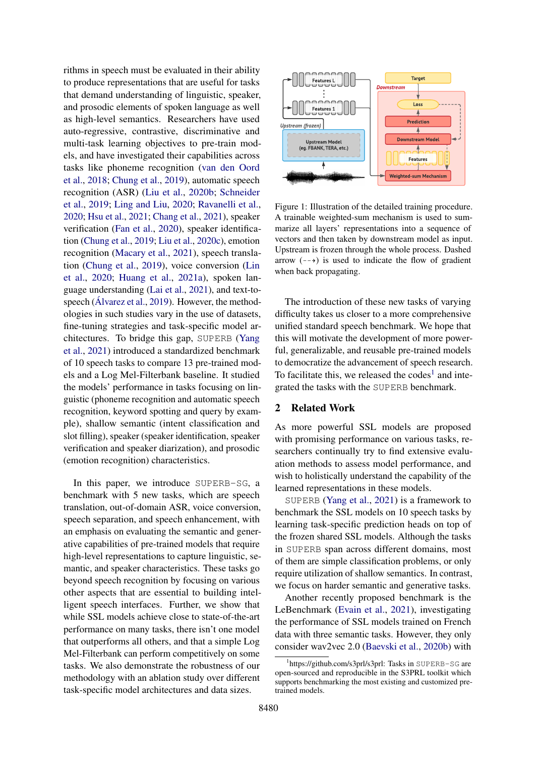rithms in speech must be evaluated in their ability to produce representations that are useful for tasks that demand understanding of linguistic, speaker, and prosodic elements of spoken language as well as high-level semantics. Researchers have used auto-regressive, contrastive, discriminative and multi-task learning objectives to pre-train models, and have investigated their capabilities across tasks like phoneme recognition [\(van den Oord](#page-10-3) [et al.,](#page-10-3) [2018;](#page-10-3) [Chung et al.,](#page-8-1) [2019\)](#page-8-1), automatic speech recognition (ASR) [\(Liu et al.,](#page-10-7) [2020b;](#page-10-7) [Schneider](#page-10-5) [et al.,](#page-10-5) [2019;](#page-10-5) [Ling and Liu,](#page-9-6) [2020;](#page-9-6) [Ravanelli et al.,](#page-10-8) [2020;](#page-10-8) [Hsu et al.,](#page-9-4) [2021;](#page-9-4) [Chang et al.,](#page-8-3) [2021\)](#page-8-3), speaker verification [\(Fan et al.,](#page-9-9) [2020\)](#page-9-9), speaker identification [\(Chung et al.,](#page-8-1) [2019;](#page-8-1) [Liu et al.,](#page-10-6) [2020c\)](#page-10-6), emotion recognition [\(Macary et al.,](#page-10-12) [2021\)](#page-10-12), speech translation [\(Chung et al.,](#page-8-1) [2019\)](#page-8-1), voice conversion [\(Lin](#page-9-10) [et al.,](#page-9-10) [2020;](#page-9-10) [Huang et al.,](#page-9-11) [2021a\)](#page-9-11), spoken language understanding [\(Lai et al.,](#page-9-12) [2021\)](#page-9-12), and text-tospeech [\(Álvarez et al.,](#page-8-4) [2019\)](#page-8-4). However, the methodologies in such studies vary in the use of datasets, fine-tuning strategies and task-specific model architectures. To bridge this gap, SUPERB [\(Yang](#page-11-1) [et al.,](#page-11-1) [2021\)](#page-11-1) introduced a standardized benchmark of 10 speech tasks to compare 13 pre-trained models and a Log Mel-Filterbank baseline. It studied the models' performance in tasks focusing on linguistic (phoneme recognition and automatic speech recognition, keyword spotting and query by example), shallow semantic (intent classification and slot filling), speaker (speaker identification, speaker verification and speaker diarization), and prosodic (emotion recognition) characteristics.

In this paper, we introduce SUPERB-SG, a benchmark with 5 new tasks, which are speech translation, out-of-domain ASR, voice conversion, speech separation, and speech enhancement, with an emphasis on evaluating the semantic and generative capabilities of pre-trained models that require high-level representations to capture linguistic, semantic, and speaker characteristics. These tasks go beyond speech recognition by focusing on various other aspects that are essential to building intelligent speech interfaces. Further, we show that while SSL models achieve close to state-of-the-art performance on many tasks, there isn't one model that outperforms all others, and that a simple Log Mel-Filterbank can perform competitively on some tasks. We also demonstrate the robustness of our methodology with an ablation study over different task-specific model architectures and data sizes.

<span id="page-1-1"></span>

Figure 1: Illustration of the detailed training procedure. A trainable weighted-sum mechanism is used to summarize all layers' representations into a sequence of vectors and then taken by downstream model as input. Upstream is frozen through the whole process. Dashed arrow  $(-\rightarrow)$  is used to indicate the flow of gradient when back propagating.

The introduction of these new tasks of varying difficulty takes us closer to a more comprehensive unified standard speech benchmark. We hope that this will motivate the development of more powerful, generalizable, and reusable pre-trained models to democratize the advancement of speech research. To facilitate this, we released the  $codes<sup>1</sup>$  $codes<sup>1</sup>$  $codes<sup>1</sup>$  and integrated the tasks with the SUPERB benchmark.

### 2 Related Work

As more powerful SSL models are proposed with promising performance on various tasks, researchers continually try to find extensive evaluation methods to assess model performance, and wish to holistically understand the capability of the learned representations in these models.

SUPERB [\(Yang et al.,](#page-11-1) [2021\)](#page-11-1) is a framework to benchmark the SSL models on 10 speech tasks by learning task-specific prediction heads on top of the frozen shared SSL models. Although the tasks in SUPERB span across different domains, most of them are simple classification problems, or only require utilization of shallow semantics. In contrast, we focus on harder semantic and generative tasks.

Another recently proposed benchmark is the LeBenchmark [\(Evain et al.,](#page-9-13) [2021\)](#page-9-13), investigating the performance of SSL models trained on French data with three semantic tasks. However, they only consider wav2vec 2.0 [\(Baevski et al.,](#page-8-2) [2020b\)](#page-8-2) with

<span id="page-1-0"></span><sup>1</sup> https://github.com/s3prl/s3prl: Tasks in SUPERB-SG are open-sourced and reproducible in the S3PRL toolkit which supports benchmarking the most existing and customized pretrained models.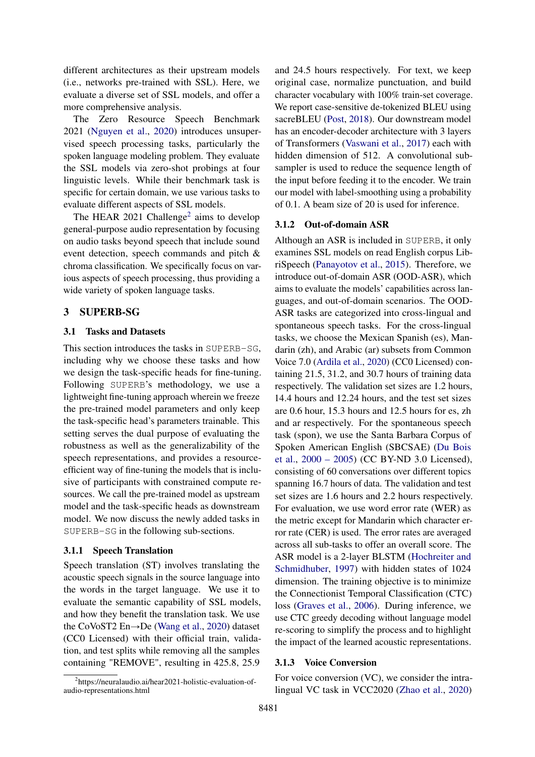different architectures as their upstream models (i.e., networks pre-trained with SSL). Here, we evaluate a diverse set of SSL models, and offer a more comprehensive analysis.

The Zero Resource Speech Benchmark 2021 [\(Nguyen et al.,](#page-10-13) [2020\)](#page-10-13) introduces unsupervised speech processing tasks, particularly the spoken language modeling problem. They evaluate the SSL models via zero-shot probings at four linguistic levels. While their benchmark task is specific for certain domain, we use various tasks to evaluate different aspects of SSL models.

The HEAR [2](#page-2-0)021 Challenge<sup>2</sup> aims to develop general-purpose audio representation by focusing on audio tasks beyond speech that include sound event detection, speech commands and pitch & chroma classification. We specifically focus on various aspects of speech processing, thus providing a wide variety of spoken language tasks.

### <span id="page-2-1"></span>3 SUPERB-SG

# 3.1 Tasks and Datasets

This section introduces the tasks in SUPERB-SG, including why we choose these tasks and how we design the task-specific heads for fine-tuning. Following SUPERB's methodology, we use a lightweight fine-tuning approach wherein we freeze the pre-trained model parameters and only keep the task-specific head's parameters trainable. This setting serves the dual purpose of evaluating the robustness as well as the generalizability of the speech representations, and provides a resourceefficient way of fine-tuning the models that is inclusive of participants with constrained compute resources. We call the pre-trained model as upstream model and the task-specific heads as downstream model. We now discuss the newly added tasks in SUPERB-SG in the following sub-sections.

#### 3.1.1 Speech Translation

Speech translation (ST) involves translating the acoustic speech signals in the source language into the words in the target language. We use it to evaluate the semantic capability of SSL models, and how they benefit the translation task. We use the CoVoST2 En $\rightarrow$ De [\(Wang et al.,](#page-10-14) [2020\)](#page-10-14) dataset (CC0 Licensed) with their official train, validation, and test splits while removing all the samples containing "REMOVE", resulting in 425.8, 25.9

<span id="page-2-0"></span><sup>2</sup>https://neuralaudio.ai/hear2021-holistic-evaluation-ofaudio-representations.html

and 24.5 hours respectively. For text, we keep original case, normalize punctuation, and build character vocabulary with 100% train-set coverage. We report case-sensitive de-tokenized BLEU using sacreBLEU [\(Post,](#page-10-15) [2018\)](#page-10-15). Our downstream model has an encoder-decoder architecture with 3 layers of Transformers [\(Vaswani et al.,](#page-10-16) [2017\)](#page-10-16) each with hidden dimension of 512. A convolutional subsampler is used to reduce the sequence length of the input before feeding it to the encoder. We train our model with label-smoothing using a probability of 0.1. A beam size of 20 is used for inference.

#### 3.1.2 Out-of-domain ASR

Although an ASR is included in SUPERB, it only examines SSL models on read English corpus LibriSpeech [\(Panayotov et al.,](#page-10-17) [2015\)](#page-10-17). Therefore, we introduce out-of-domain ASR (OOD-ASR), which aims to evaluate the models' capabilities across languages, and out-of-domain scenarios. The OOD-ASR tasks are categorized into cross-lingual and spontaneous speech tasks. For the cross-lingual tasks, we choose the Mexican Spanish (es), Mandarin (zh), and Arabic (ar) subsets from Common Voice 7.0 [\(Ardila et al.,](#page-8-5) [2020\)](#page-8-5) (CC0 Licensed) containing 21.5, 31.2, and 30.7 hours of training data respectively. The validation set sizes are 1.2 hours, 14.4 hours and 12.24 hours, and the test set sizes are 0.6 hour, 15.3 hours and 12.5 hours for es, zh and ar respectively. For the spontaneous speech task (spon), we use the Santa Barbara Corpus of Spoken American English (SBCSAE) [\(Du Bois](#page-9-14) [et al.,](#page-9-14) [2000 – 2005\)](#page-9-14) (CC BY-ND 3.0 Licensed), consisting of 60 conversations over different topics spanning 16.7 hours of data. The validation and test set sizes are 1.6 hours and 2.2 hours respectively. For evaluation, we use word error rate (WER) as the metric except for Mandarin which character error rate (CER) is used. The error rates are averaged across all sub-tasks to offer an overall score. The ASR model is a 2-layer BLSTM [\(Hochreiter and](#page-9-15) [Schmidhuber,](#page-9-15) [1997\)](#page-9-15) with hidden states of 1024 dimension. The training objective is to minimize the Connectionist Temporal Classification (CTC) loss [\(Graves et al.,](#page-9-16) [2006\)](#page-9-16). During inference, we use CTC greedy decoding without language model re-scoring to simplify the process and to highlight the impact of the learned acoustic representations.

### 3.1.3 Voice Conversion

For voice conversion (VC), we consider the intralingual VC task in VCC2020 [\(Zhao et al.,](#page-11-2) [2020\)](#page-11-2)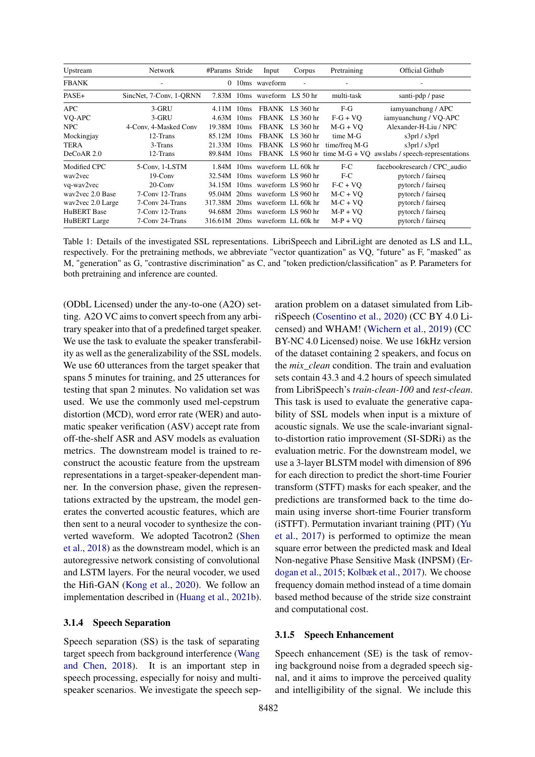<span id="page-3-0"></span>

| Upstream            | Network                 | #Params Stride | Input                           | Corpus          | Pretraining   | Official Github                                                  |
|---------------------|-------------------------|----------------|---------------------------------|-----------------|---------------|------------------------------------------------------------------|
| <b>FBANK</b>        |                         |                | $0$ 10ms waveform               |                 |               |                                                                  |
| PASE+               | SincNet, 7-Conv, 1-QRNN |                | 7.83M 10ms waveform LS 50 hr    |                 | multi-task    | santi-pdp / pase                                                 |
| APC                 | 3-GRU                   | $4.11M$ 10ms   |                                 | FBANK LS 360 hr | $F-G$         | iamyuanchung / APC                                               |
| VQ-APC              | 3-GRU                   | $4.63M$ 10ms   |                                 | FBANK LS 360 hr | $F-G + VO$    | iamyuanchung / VQ-APC                                            |
| <b>NPC</b>          | 4-Conv. 4-Masked Conv   | 19.38M 10ms    |                                 | FBANK LS 360 hr | $M-G + VO$    | Alexander-H-Liu / NPC                                            |
| Mockingjay          | 12-Trans                | 85.12M 10ms    |                                 | FBANK LS 360 hr | time M-G      | s3prl / s3prl                                                    |
| <b>TERA</b>         | 3-Trans                 | 21.33M 10ms    |                                 | FBANK LS 960 hr | time/freq M-G | s3prl / s3prl                                                    |
| DeCoAR 2.0          | 12-Trans                | 89.84M 10ms    |                                 |                 |               | FBANK LS 960 hr time $M-G + VQ$ awslabs / speech-representations |
| Modified CPC        | 5-Conv, 1-LSTM          |                | 1.84M 10ms waveform LL 60k hr   |                 | $F-C$         | facebookresearch / CPC audio                                     |
| way2yec             | $19$ -Conv              |                | 32.54M 10ms waveform LS 960 hr  |                 | $F-C$         | pytorch / fairseq                                                |
| vq-wav2vec          | $20$ -Conv              |                | 34.15M 10ms waveform LS 960 hr  |                 | $F-C + VO$    | pytorch / fairseq                                                |
| way2yec 2.0 Base    | 7-Conv 12-Trans         |                | 95.04M 20ms waveform LS 960 hr  |                 | $M-C + VO$    | pytorch / fairseq                                                |
| wav2vec 2.0 Large   | 7-Conv 24-Trans         |                | 317.38M 20ms waveform LL 60k hr |                 | $M-C + VO$    | pytorch / fairseq                                                |
| <b>HuBERT</b> Base  | 7-Conv 12-Trans         |                | 94.68M 20ms waveform LS 960 hr  |                 | $M-P + VO$    | pytorch / fairseq                                                |
| <b>HuBERT</b> Large | 7-Conv 24-Trans         |                | 316.61M 20ms waveform LL 60k hr |                 | $M-P + VO$    | pytorch / fairseq                                                |

Table 1: Details of the investigated SSL representations. LibriSpeech and LibriLight are denoted as LS and LL, respectively. For the pretraining methods, we abbreviate "vector quantization" as VQ, "future" as F, "masked" as M, "generation" as G, "contrastive discrimination" as C, and "token prediction/classification" as P. Parameters for both pretraining and inference are counted.

(ODbL Licensed) under the any-to-one (A2O) setting. A2O VC aims to convert speech from any arbitrary speaker into that of a predefined target speaker. We use the task to evaluate the speaker transferability as well as the generalizability of the SSL models. We use 60 utterances from the target speaker that spans 5 minutes for training, and 25 utterances for testing that span 2 minutes. No validation set was used. We use the commonly used mel-cepstrum distortion (MCD), word error rate (WER) and automatic speaker verification (ASV) accept rate from off-the-shelf ASR and ASV models as evaluation metrics. The downstream model is trained to reconstruct the acoustic feature from the upstream representations in a target-speaker-dependent manner. In the conversion phase, given the representations extracted by the upstream, the model generates the converted acoustic features, which are then sent to a neural vocoder to synthesize the converted waveform. We adopted Tacotron2 [\(Shen](#page-10-18) [et al.,](#page-10-18) [2018\)](#page-10-18) as the downstream model, which is an autoregressive network consisting of convolutional and LSTM layers. For the neural vocoder, we used the Hifi-GAN [\(Kong et al.,](#page-9-17) [2020\)](#page-9-17). We follow an implementation described in [\(Huang et al.,](#page-9-18) [2021b\)](#page-9-18).

#### 3.1.4 Speech Separation

Speech separation (SS) is the task of separating target speech from background interference [\(Wang](#page-10-19) [and Chen,](#page-10-19) [2018\)](#page-10-19). It is an important step in speech processing, especially for noisy and multispeaker scenarios. We investigate the speech separation problem on a dataset simulated from LibriSpeech [\(Cosentino et al.,](#page-8-6) [2020\)](#page-8-6) (CC BY 4.0 Licensed) and WHAM! [\(Wichern et al.,](#page-10-20) [2019\)](#page-10-20) (CC BY-NC 4.0 Licensed) noise. We use 16kHz version of the dataset containing 2 speakers, and focus on the *mix\_clean* condition. The train and evaluation sets contain 43.3 and 4.2 hours of speech simulated from LibriSpeech's *train-clean-100* and *test-clean*. This task is used to evaluate the generative capability of SSL models when input is a mixture of acoustic signals. We use the scale-invariant signalto-distortion ratio improvement (SI-SDRi) as the evaluation metric. For the downstream model, we use a 3-layer BLSTM model with dimension of 896 for each direction to predict the short-time Fourier transform (STFT) masks for each speaker, and the predictions are transformed back to the time domain using inverse short-time Fourier transform (iSTFT). Permutation invariant training (PIT) [\(Yu](#page-11-3) [et al.,](#page-11-3) [2017\)](#page-11-3) is performed to optimize the mean square error between the predicted mask and Ideal Non-negative Phase Sensitive Mask (INPSM) [\(Er](#page-9-19)[dogan et al.,](#page-9-19) [2015;](#page-9-19) [Kolbæk et al.,](#page-9-20) [2017\)](#page-9-20). We choose frequency domain method instead of a time domain based method because of the stride size constraint and computational cost.

#### 3.1.5 Speech Enhancement

Speech enhancement (SE) is the task of removing background noise from a degraded speech signal, and it aims to improve the perceived quality and intelligibility of the signal. We include this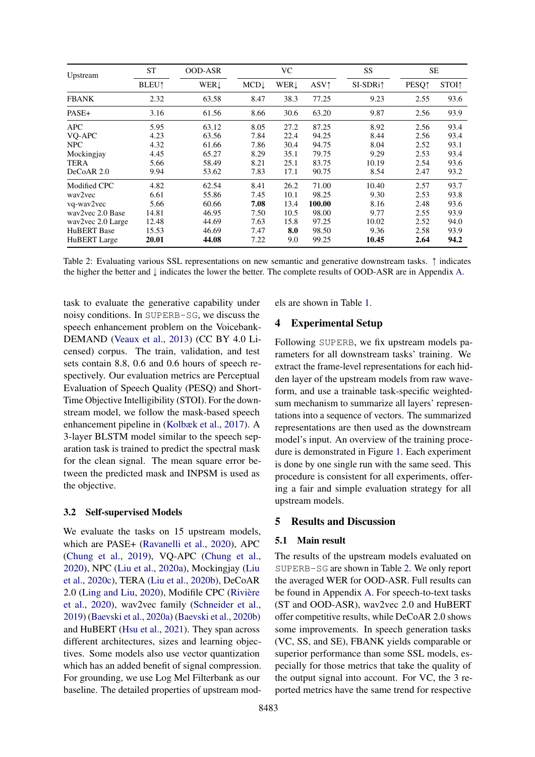<span id="page-4-0"></span>

| Upstream            | <b>ST</b>                | <b>OOD-ASR</b> |                 | VC         |                         | SS                   | SЕ                       |                          |
|---------------------|--------------------------|----------------|-----------------|------------|-------------------------|----------------------|--------------------------|--------------------------|
|                     | <b>BLEU</b> <sup>1</sup> | WER↓           | $MCD\downarrow$ | <b>WER</b> | <b>ASV</b> <sup>1</sup> | SI-SDRi <sup>1</sup> | <b>PESQ</b> <sup>↑</sup> | <b>STOI</b> <sup>1</sup> |
| <b>FBANK</b>        | 2.32                     | 63.58          | 8.47            | 38.3       | 77.25                   | 9.23                 | 2.55                     | 93.6                     |
| PASE+               | 3.16                     | 61.56          | 8.66            | 30.6       | 63.20                   | 9.87                 | 2.56                     | 93.9                     |
| <b>APC</b>          | 5.95                     | 63.12          | 8.05            | 27.2       | 87.25                   | 8.92                 | 2.56                     | 93.4                     |
| VQ-APC              | 4.23                     | 63.56          | 7.84            | 22.4       | 94.25                   | 8.44                 | 2.56                     | 93.4                     |
| <b>NPC</b>          | 4.32                     | 61.66          | 7.86            | 30.4       | 94.75                   | 8.04                 | 2.52                     | 93.1                     |
| Mockingjay          | 4.45                     | 65.27          | 8.29            | 35.1       | 79.75                   | 9.29                 | 2.53                     | 93.4                     |
| <b>TERA</b>         | 5.66                     | 58.49          | 8.21            | 25.1       | 83.75                   | 10.19                | 2.54                     | 93.6                     |
| DeCoAR 2.0          | 9.94                     | 53.62          | 7.83            | 17.1       | 90.75                   | 8.54                 | 2.47                     | 93.2                     |
| Modified CPC        | 4.82                     | 62.54          | 8.41            | 26.2       | 71.00                   | 10.40                | 2.57                     | 93.7                     |
| way2yec             | 6.61                     | 55.86          | 7.45            | 10.1       | 98.25                   | 9.30                 | 2.53                     | 93.8                     |
| vq-wav2vec          | 5.66                     | 60.66          | 7.08            | 13.4       | 100.00                  | 8.16                 | 2.48                     | 93.6                     |
| way2yec 2.0 Base    | 14.81                    | 46.95          | 7.50            | 10.5       | 98.00                   | 9.77                 | 2.55                     | 93.9                     |
| wav2vec 2.0 Large   | 12.48                    | 44.69          | 7.63            | 15.8       | 97.25                   | 10.02                | 2.52                     | 94.0                     |
| <b>HuBERT</b> Base  | 15.53                    | 46.69          | 7.47            | 8.0        | 98.50                   | 9.36                 | 2.58                     | 93.9                     |
| <b>HuBERT</b> Large | 20.01                    | 44.08          | 7.22            | 9.0        | 99.25                   | 10.45                | 2.64                     | 94.2                     |

Table 2: Evaluating various SSL representations on new semantic and generative downstream tasks.  $\uparrow$  indicates the higher the better and  $\downarrow$  indicates the lower the better. The complete results of OOD-ASR are in Appendix [A.](#page-12-0)

task to evaluate the generative capability under noisy conditions. In SUPERB-SG, we discuss the speech enhancement problem on the Voicebank-DEMAND [\(Veaux et al.,](#page-10-21) [2013\)](#page-10-21) (CC BY 4.0 Licensed) corpus. The train, validation, and test sets contain 8.8, 0.6 and 0.6 hours of speech respectively. Our evaluation metrics are Perceptual Evaluation of Speech Quality (PESQ) and Short-Time Objective Intelligibility (STOI). For the downstream model, we follow the mask-based speech enhancement pipeline in [\(Kolbæk et al.,](#page-9-20) [2017\)](#page-9-20). A 3-layer BLSTM model similar to the speech separation task is trained to predict the spectral mask for the clean signal. The mean square error between the predicted mask and INPSM is used as the objective.

#### 3.2 Self-supervised Models

We evaluate the tasks on 15 upstream models, which are PASE+ [\(Ravanelli et al.,](#page-10-8) [2020\)](#page-10-8), APC [\(Chung et al.,](#page-8-1) [2019\)](#page-8-1), VQ-APC [\(Chung et al.,](#page-8-7) [2020\)](#page-8-7), NPC [\(Liu et al.,](#page-10-22) [2020a\)](#page-10-22), Mockingjay [\(Liu](#page-10-6) [et al.,](#page-10-6) [2020c\)](#page-10-6), TERA [\(Liu et al.,](#page-10-7) [2020b\)](#page-10-7), DeCoAR 2.0 [\(Ling and Liu,](#page-9-6) [2020\)](#page-9-6), Modifile CPC [\(Rivière](#page-10-4) [et al.,](#page-10-4) [2020\)](#page-10-4), wav2vec family [\(Schneider et al.,](#page-10-5) [2019\)](#page-10-5) [\(Baevski et al.,](#page-8-8) [2020a\)](#page-8-8) [\(Baevski et al.,](#page-8-2) [2020b\)](#page-8-2) and HuBERT [\(Hsu et al.,](#page-9-4) [2021\)](#page-9-4). They span across different architectures, sizes and learning objectives. Some models also use vector quantization which has an added benefit of signal compression. For grounding, we use Log Mel Filterbank as our baseline. The detailed properties of upstream models are shown in Table [1.](#page-3-0)

### <span id="page-4-1"></span>4 Experimental Setup

Following SUPERB, we fix upstream models parameters for all downstream tasks' training. We extract the frame-level representations for each hidden layer of the upstream models from raw waveform, and use a trainable task-specific weightedsum mechanism to summarize all layers' representations into a sequence of vectors. The summarized representations are then used as the downstream model's input. An overview of the training procedure is demonstrated in Figure [1.](#page-1-1) Each experiment is done by one single run with the same seed. This procedure is consistent for all experiments, offering a fair and simple evaluation strategy for all upstream models.

### 5 Results and Discussion

### 5.1 Main result

The results of the upstream models evaluated on SUPERB-SG are shown in Table [2.](#page-4-0) We only report the averaged WER for OOD-ASR. Full results can be found in Appendix [A.](#page-12-0) For speech-to-text tasks (ST and OOD-ASR), wav2vec 2.0 and HuBERT offer competitive results, while DeCoAR 2.0 shows some improvements. In speech generation tasks (VC, SS, and SE), FBANK yields comparable or superior performance than some SSL models, especially for those metrics that take the quality of the output signal into account. For VC, the 3 reported metrics have the same trend for respective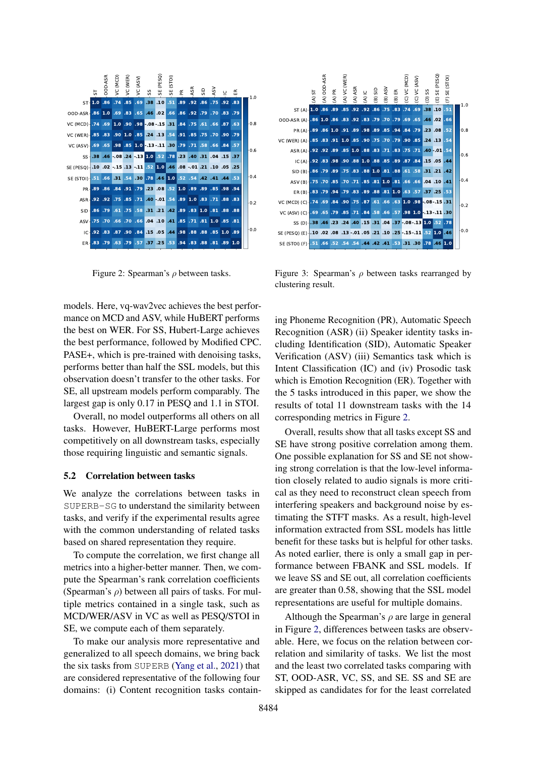<span id="page-5-0"></span>

Figure 2: Spearman's  $\rho$  between tasks.

models. Here, vq-wav2vec achieves the best performance on MCD and ASV, while HuBERT performs the best on WER. For SS, Hubert-Large achieves the best performance, followed by Modified CPC. PASE+, which is pre-trained with denoising tasks, performs better than half the SSL models, but this observation doesn't transfer to the other tasks. For SE, all upstream models perform comparably. The largest gap is only 0.17 in PESQ and 1.1 in STOI.

Overall, no model outperforms all others on all tasks. However, HuBERT-Large performs most competitively on all downstream tasks, especially those requiring linguistic and semantic signals.

#### 5.2 Correlation between tasks

We analyze the correlations between tasks in SUPERB-SG to understand the similarity between tasks, and verify if the experimental results agree with the common understanding of related tasks based on shared representation they require.

To compute the correlation, we first change all metrics into a higher-better manner. Then, we compute the Spearman's rank correlation coefficients (Spearman's  $\rho$ ) between all pairs of tasks. For multiple metrics contained in a single task, such as MCD/WER/ASV in VC as well as PESQ/STOI in SE, we compute each of them separately.

To make our analysis more representative and generalized to all speech domains, we bring back the six tasks from SUPERB [\(Yang et al.,](#page-11-1) [2021\)](#page-11-1) that are considered representative of the following four

<span id="page-5-1"></span>

Figure 3: Spearman's  $\rho$  between tasks rearranged by clustering result.

ing Phoneme Recognition (PR), Automatic Speech Recognition (ASR) (ii) Speaker identity tasks including Identification (SID), Automatic Speaker Verification (ASV) (iii) Semantics task which is Intent Classification (IC) and (iv) Prosodic task which is Emotion Recognition (ER). Together with the 5 tasks introduced in this paper, we show the results of total 11 downstream tasks with the 14 corresponding metrics in Figure [2.](#page-5-0)

Overall, results show that all tasks except SS and SE have strong positive correlation among them. One possible explanation for SS and SE not showing strong correlation is that the low-level information closely related to audio signals is more critical as they need to reconstruct clean speech from interfering speakers and background noise by estimating the STFT masks. As a result, high-level information extracted from SSL models has little benefit for these tasks but is helpful for other tasks. As noted earlier, there is only a small gap in performance between FBANK and SSL models. If we leave SS and SE out, all correlation coefficients are greater than 0.58, showing that the SSL model representations are useful for multiple domains.

Although the Spearman's  $\rho$  are large in general in Figure [2,](#page-5-0) differences between tasks are observable. Here, we focus on the relation between correlation and similarity of tasks. We list the most and the least two correlated tasks comparing with ST, OOD-ASR, VC, SS, and SE. SS and SE are skipped as candidates for for the least correlated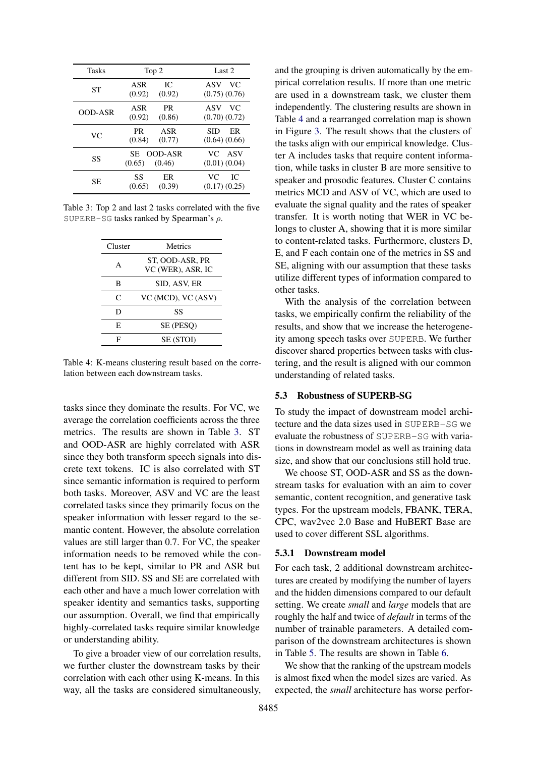<span id="page-6-0"></span>

| Tasks   | Top 2                                     | Last 2                          |
|---------|-------------------------------------------|---------------------------------|
| ST      | IС<br>ASR<br>(0.92)<br>(0.92)             | VC.<br>ASV<br>$(0.75)$ $(0.76)$ |
| OOD-ASR | <b>PR</b><br>ASR<br>(0.92)<br>(0.86)      | ASV<br>VC.<br>$(0.70)$ $(0.72)$ |
| VC      | <b>PR</b><br>ASR<br>(0.84)<br>(0.77)      | SID<br>ER<br>$(0.64)$ $(0.66)$  |
| SS      | <b>OOD-ASR</b><br>SE.<br>(0.46)<br>(0.65) | VC.<br>ASV<br>$(0.01)$ $(0.04)$ |
| SE      | SS<br>ER<br>(0.39)<br>(0.65)              | VC.<br>IC.<br>$(0.17)$ $(0.25)$ |

<span id="page-6-1"></span>Table 3: Top 2 and last 2 tasks correlated with the five SUPERB-SG tasks ranked by Spearman's  $\rho$ .

| Cluster | Metrics                              |
|---------|--------------------------------------|
| A       | ST. OOD-ASR. PR<br>VC (WER), ASR, IC |
| в       | SID, ASV, ER                         |
| C       | VC (MCD), VC (ASV)                   |
| D       | SS                                   |
| E.      | SE (PESO)                            |
| F       | <b>SE (STOI)</b>                     |

Table 4: K-means clustering result based on the correlation between each downstream tasks.

tasks since they dominate the results. For VC, we average the correlation coefficients across the three metrics. The results are shown in Table [3.](#page-6-0) ST and OOD-ASR are highly correlated with ASR since they both transform speech signals into discrete text tokens. IC is also correlated with ST since semantic information is required to perform both tasks. Moreover, ASV and VC are the least correlated tasks since they primarily focus on the speaker information with lesser regard to the semantic content. However, the absolute correlation values are still larger than 0.7. For VC, the speaker information needs to be removed while the content has to be kept, similar to PR and ASR but different from SID. SS and SE are correlated with each other and have a much lower correlation with speaker identity and semantics tasks, supporting our assumption. Overall, we find that empirically highly-correlated tasks require similar knowledge or understanding ability.

To give a broader view of our correlation results, we further cluster the downstream tasks by their correlation with each other using K-means. In this way, all the tasks are considered simultaneously, and the grouping is driven automatically by the empirical correlation results. If more than one metric are used in a downstream task, we cluster them independently. The clustering results are shown in Table [4](#page-6-1) and a rearranged correlation map is shown in Figure [3.](#page-5-1) The result shows that the clusters of the tasks align with our empirical knowledge. Cluster A includes tasks that require content information, while tasks in cluster B are more sensitive to speaker and prosodic features. Cluster C contains metrics MCD and ASV of VC, which are used to evaluate the signal quality and the rates of speaker transfer. It is worth noting that WER in VC belongs to cluster A, showing that it is more similar to content-related tasks. Furthermore, clusters D, E, and F each contain one of the metrics in SS and SE, aligning with our assumption that these tasks utilize different types of information compared to other tasks.

With the analysis of the correlation between tasks, we empirically confirm the reliability of the results, and show that we increase the heterogeneity among speech tasks over SUPERB. We further discover shared properties between tasks with clustering, and the result is aligned with our common understanding of related tasks.

#### <span id="page-6-2"></span>5.3 Robustness of SUPERB-SG

To study the impact of downstream model architecture and the data sizes used in SUPERB-SG we evaluate the robustness of SUPERB-SG with variations in downstream model as well as training data size, and show that our conclusions still hold true.

We choose ST, OOD-ASR and SS as the downstream tasks for evaluation with an aim to cover semantic, content recognition, and generative task types. For the upstream models, FBANK, TERA, CPC, wav2vec 2.0 Base and HuBERT Base are used to cover different SSL algorithms.

## <span id="page-6-3"></span>5.3.1 Downstream model

For each task, 2 additional downstream architectures are created by modifying the number of layers and the hidden dimensions compared to our default setting. We create *small* and *large* models that are roughly the half and twice of *default* in terms of the number of trainable parameters. A detailed comparison of the downstream architectures is shown in Table [5.](#page-7-0) The results are shown in Table [6.](#page-7-1)

We show that the ranking of the upstream models is almost fixed when the model sizes are varied. As expected, the *small* architecture has worse perfor-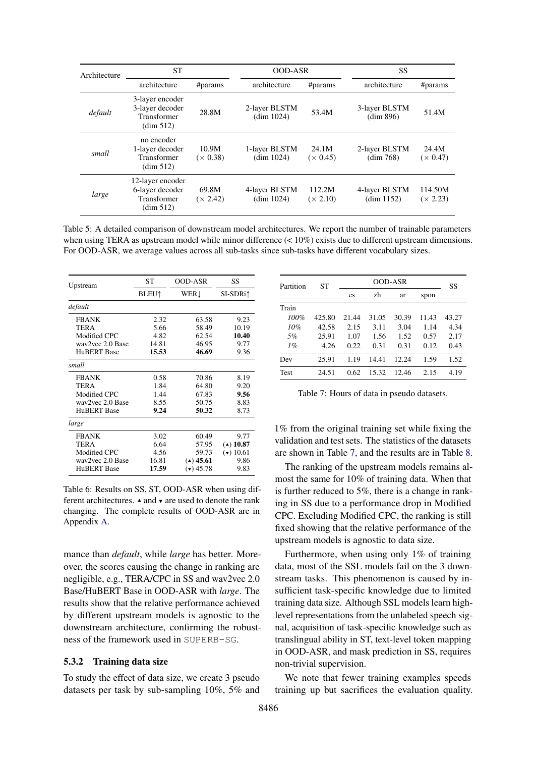<span id="page-7-0"></span>

| Architecture | <b>ST</b>                                                       |                          | <b>OOD-ASR</b>              |                           | SS                          |                          |
|--------------|-----------------------------------------------------------------|--------------------------|-----------------------------|---------------------------|-----------------------------|--------------------------|
|              | architecture                                                    | #params                  | architecture                | #params                   | architecture                | #params                  |
| default      | 3-layer encoder<br>3-layer decoder<br>Transformer<br>(dim 512)  | 28.8M                    | 2-layer BLSTM<br>(dim 1024) | 53.4M                     | 3-layer BLSTM<br>(dim 896)  | 51.4M                    |
| small        | no encoder<br>1-layer decoder<br>Transformer<br>(dim 512)       | 10.9M<br>$(\times 0.38)$ | 1-layer BLSTM<br>(dim 1024) | 24.1M<br>(x 0.45)         | 2-layer BLSTM<br>(dim 768)  | 24.4M<br>$(\times 0.47)$ |
| large        | 12-layer encoder<br>6-layer decoder<br>Transformer<br>(dim 512) | 69.8M<br>(x 2.42)        | 4-layer BLSTM<br>(dim 1024) | 112.2M<br>$(\times 2.10)$ | 4-layer BLSTM<br>(dim 1152) | 114.50M<br>(x 2.23)      |

Table 5: A detailed comparison of downstream model architectures. We report the number of trainable parameters when using TERA as upstream model while minor difference  $\ll 10\%$  exists due to different upstream dimensions. For OOD-ASR, we average values across all sub-tasks since sub-tasks have different vocabulary sizes.

<span id="page-7-1"></span>

| Upstream           | <b>ST</b>                | <b>OOD-ASR</b> | SS          |
|--------------------|--------------------------|----------------|-------------|
|                    | <b>BLEU</b> <sup>1</sup> | WER!           | SI-SDRi†    |
| default            |                          |                |             |
| <b>FBANK</b>       | 2.32                     | 63.58          | 9.23        |
| <b>TERA</b>        | 5.66                     | 58.49          | 10.19       |
| Modified CPC       | 4.82                     | 62.54          | 10.40       |
| way2yec 2.0 Base   | 14.81                    | 46.95          | 9.77        |
| <b>HuBERT Base</b> | 15.53                    | 46.69          | 9.36        |
| small              |                          |                |             |
| <b>FBANK</b>       | 0.58                     | 70.86          | 8.19        |
| <b>TERA</b>        | 1.84                     | 64.80          | 9.20        |
| Modified CPC       | 1.44                     | 67.83          | 9.56        |
| way2yec 2.0 Base   | 8.55                     | 50.75          | 8.83        |
| <b>HuBERT</b> Base | 9.24                     | 50.32          | 8.73        |
| large              |                          |                |             |
| <b>FBANK</b>       | 3.02                     | 60.49          | 9.77        |
| <b>TERA</b>        | 6.64                     | 57.95          | $(4)$ 10.87 |
| Modified CPC       | 4.56                     | 59.73          | (•) 10.61   |
| way2yec 2.0 Base   | 16.81                    | $(4)$ 45.61    | 9.86        |
| <b>HuBERT</b> Base | 17.59                    | $(v)$ 45.78    | 9.83        |

Table 6: Results on SS, ST, OOD-ASR when using different architectures.  $\triangle$  and  $\triangledown$  are used to denote the rank changing. The complete results of OOD-ASR are in Appendix [A.](#page-12-0)

mance than *default*, while *large* has better. Moreover, the scores causing the change in ranking are negligible, e.g., TERA/CPC in SS and wav2vec 2.0 Base/HuBERT Base in OOD-ASR with *large*. The results show that the relative performance achieved by different upstream models is agnostic to the downstream architecture, confirming the robustness of the framework used in SUPERB-SG.

### 5.3.2 Training data size

To study the effect of data size, we create 3 pseudo datasets per task by sub-sampling 10%, 5% and

<span id="page-7-2"></span>

| Partition | ST     |       | SS    |       |       |       |
|-----------|--------|-------|-------|-------|-------|-------|
|           |        | es    | zh    | ar    | spon  |       |
| Train     |        |       |       |       |       |       |
| 100%      | 425.80 | 21.44 | 31.05 | 30.39 | 11.43 | 43.27 |
| 10%       | 42.58  | 2.15  | 3.11  | 3.04  | 1.14  | 4.34  |
| .5%       | 25.91  | 1.07  | 1.56  | 1.52  | 0.57  | 2.17  |
| $1\%$     | 4.26   | 0.22  | 0.31  | 0.31  | 0.12  | 0.43  |
| Dev       | 25.91  | 1.19  | 14.41 | 12.24 | 1.59  | 1.52  |
| Test      | 24.51  | 0.62  | 15.32 | 12.46 | 2.15  | 4.19  |

Table 7: Hours of data in pseudo datasets.

1% from the original training set while fixing the validation and test sets. The statistics of the datasets are shown in Table [7,](#page-7-2) and the results are in Table [8.](#page-8-9)

The ranking of the upstream models remains almost the same for 10% of training data. When that is further reduced to 5%, there is a change in ranking in SS due to a performance drop in Modified CPC. Excluding Modified CPC, the ranking is still fixed showing that the relative performance of the upstream models is agnostic to data size.

Furthermore, when using only 1% of training data, most of the SSL models fail on the 3 downstream tasks. This phenomenon is caused by insufficient task-specific knowledge due to limited training data size. Although SSL models learn highlevel representations from the unlabeled speech signal, acquisition of task-specific knowledge such as translingual ability in ST, text-level token mapping in OOD-ASR, and mask prediction in SS, requires non-trivial supervision.

We note that fewer training examples speeds training up but sacrifices the evaluation quality.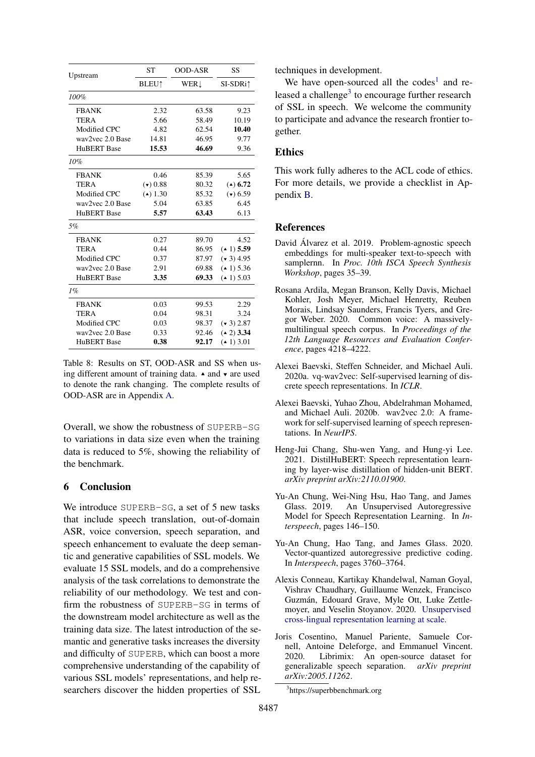<span id="page-8-9"></span>

| Upstream           | <b>ST</b>                | <b>OOD-ASR</b> | SS                   |  |
|--------------------|--------------------------|----------------|----------------------|--|
|                    | <b>BLEU</b> <sup>1</sup> | WER            | SI-SDRi <sup>1</sup> |  |
| 100%               |                          |                |                      |  |
| <b>FBANK</b>       | 2.32                     | 63.58          | 9.23                 |  |
| <b>TERA</b>        | 5.66                     | 58.49          | 10.19                |  |
| Modified CPC       | 4.82                     | 62.54          | 10.40                |  |
| way2yec 2.0 Base   | 14.81                    | 46.95          | 9.77                 |  |
| <b>HuBERT</b> Base | 15.53                    | 46.69          | 9.36                 |  |
| $10\%$             |                          |                |                      |  |
| <b>FBANK</b>       | 0.46                     | 85.39          | 5.65                 |  |
| <b>TERA</b>        | (v) 0.88                 | 80.32          | $(4)$ 6.72           |  |
| Modified CPC       | $(4)$ 1.30               | 85.32          | (v) 6.59             |  |
| wav2vec 2.0 Base   | 5.04                     | 63.85          | 6.45                 |  |
| <b>HuBERT</b> Base | 5.57                     | 63.43          | 6.13                 |  |
| 5%                 |                          |                |                      |  |
| <b>FBANK</b>       | 0.27                     | 89.70          | 4.52                 |  |
| <b>TERA</b>        | 0.44                     | 86.95          | $(41)$ 5.59          |  |
| Modified CPC       | 0.37                     | 87.97          | $(* 3) 4.95$         |  |
| way2yec 2.0 Base   | 2.91                     | 69.88          | (41) 5.36            |  |
| <b>HuBERT</b> Base | 3.35                     | 69.33          | $(41)$ 5.03          |  |
| $1\%$              |                          |                |                      |  |
| <b>FBANK</b>       | 0.03                     | 99.53          | 2.29                 |  |
| <b>TERA</b>        | 0.04                     | 98.31          | 3.24                 |  |
| Modified CPC       | 0.03                     | 98.37          | $(* 3) 2.87$         |  |
| wav2vec 2.0 Base   | 0.33                     | 92.46          | $(42)$ 3.34          |  |
| <b>HuBERT</b> Base | 0.38                     | 92.17          | $(41)$ 3.01          |  |

Table 8: Results on ST, OOD-ASR and SS when using different amount of training data.  $\triangle$  and  $\triangledown$  are used to denote the rank changing. The complete results of OOD-ASR are in Appendix [A.](#page-12-0)

Overall, we show the robustness of SUPERB-SG to variations in data size even when the training data is reduced to 5%, showing the reliability of the benchmark.

### 6 Conclusion

We introduce SUPERB-SG, a set of 5 new tasks that include speech translation, out-of-domain ASR, voice conversion, speech separation, and speech enhancement to evaluate the deep semantic and generative capabilities of SSL models. We evaluate 15 SSL models, and do a comprehensive analysis of the task correlations to demonstrate the reliability of our methodology. We test and confirm the robustness of SUPERB-SG in terms of the downstream model architecture as well as the training data size. The latest introduction of the semantic and generative tasks increases the diversity and difficulty of SUPERB, which can boost a more comprehensive understanding of the capability of various SSL models' representations, and help researchers discover the hidden properties of SSL

techniques in development.

We have open-sourced all the codes<sup>[1](#page-1-0)</sup> and re-leased a challenge<sup>[3](#page-8-10)</sup> to encourage further research of SSL in speech. We welcome the community to participate and advance the research frontier together.

## Ethics

This work fully adheres to the ACL code of ethics. For more details, we provide a checklist in Appendix [B.](#page-12-1)

### References

- <span id="page-8-4"></span>David Álvarez et al. 2019. Problem-agnostic speech embeddings for multi-speaker text-to-speech with samplernn. In *Proc. 10th ISCA Speech Synthesis Workshop*, pages 35–39.
- <span id="page-8-5"></span>Rosana Ardila, Megan Branson, Kelly Davis, Michael Kohler, Josh Meyer, Michael Henretty, Reuben Morais, Lindsay Saunders, Francis Tyers, and Gregor Weber. 2020. Common voice: A massivelymultilingual speech corpus. In *Proceedings of the 12th Language Resources and Evaluation Conference*, pages 4218–4222.
- <span id="page-8-8"></span>Alexei Baevski, Steffen Schneider, and Michael Auli. 2020a. vq-wav2vec: Self-supervised learning of discrete speech representations. In *ICLR*.
- <span id="page-8-2"></span>Alexei Baevski, Yuhao Zhou, Abdelrahman Mohamed, and Michael Auli. 2020b. wav2vec 2.0: A framework for self-supervised learning of speech representations. In *NeurIPS*.
- <span id="page-8-3"></span>Heng-Jui Chang, Shu-wen Yang, and Hung-yi Lee. 2021. DistilHuBERT: Speech representation learning by layer-wise distillation of hidden-unit BERT. *arXiv preprint arXiv:2110.01900*.
- <span id="page-8-1"></span>Yu-An Chung, Wei-Ning Hsu, Hao Tang, and James Glass. 2019. An Unsupervised Autoregressive Model for Speech Representation Learning. In *Interspeech*, pages 146–150.
- <span id="page-8-7"></span>Yu-An Chung, Hao Tang, and James Glass. 2020. Vector-quantized autoregressive predictive coding. In *Interspeech*, pages 3760–3764.
- <span id="page-8-0"></span>Alexis Conneau, Kartikay Khandelwal, Naman Goyal, Vishrav Chaudhary, Guillaume Wenzek, Francisco Guzmán, Edouard Grave, Myle Ott, Luke Zettlemoyer, and Veselin Stoyanov. 2020. [Unsupervised](http://arxiv.org/abs/1911.02116) [cross-lingual representation learning at scale.](http://arxiv.org/abs/1911.02116)
- <span id="page-8-6"></span>Joris Cosentino, Manuel Pariente, Samuele Cornell, Antoine Deleforge, and Emmanuel Vincent. 2020. Librimix: An open-source dataset for generalizable speech separation. *arXiv preprint arXiv:2005.11262*.

<span id="page-8-10"></span><sup>3</sup> https://superbbenchmark.org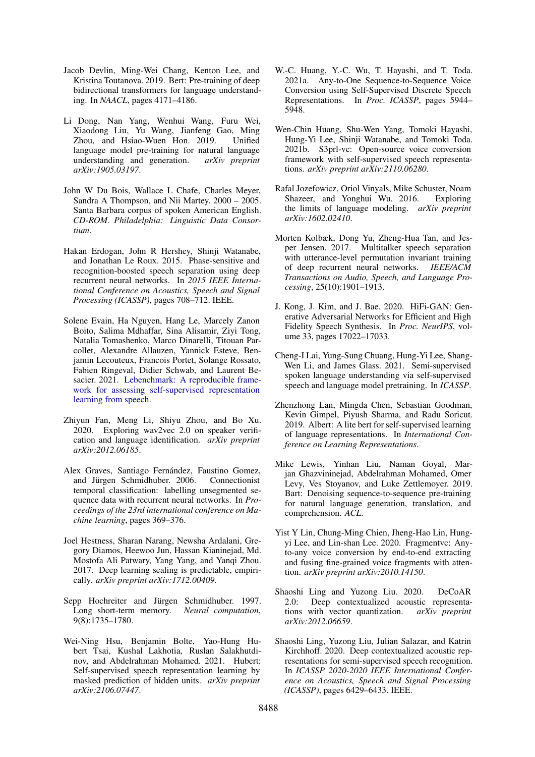- <span id="page-9-0"></span>Jacob Devlin, Ming-Wei Chang, Kenton Lee, and Kristina Toutanova. 2019. Bert: Pre-training of deep bidirectional transformers for language understanding. In *NAACL*, pages 4171–4186.
- <span id="page-9-2"></span>Li Dong, Nan Yang, Wenhui Wang, Furu Wei, Xiaodong Liu, Yu Wang, Jianfeng Gao, Ming Zhou, and Hsiao-Wuen Hon. 2019. Unified language model pre-training for natural language understanding and generation. *arXiv preprint arXiv:1905.03197*.
- <span id="page-9-14"></span>John W Du Bois, Wallace L Chafe, Charles Meyer, Sandra A Thompson, and Nii Martey. 2000 – 2005. Santa Barbara corpus of spoken American English. *CD-ROM. Philadelphia: Linguistic Data Consortium*.
- <span id="page-9-19"></span>Hakan Erdogan, John R Hershey, Shinji Watanabe, and Jonathan Le Roux. 2015. Phase-sensitive and recognition-boosted speech separation using deep recurrent neural networks. In *2015 IEEE International Conference on Acoustics, Speech and Signal Processing (ICASSP)*, pages 708–712. IEEE.
- <span id="page-9-13"></span>Solene Evain, Ha Nguyen, Hang Le, Marcely Zanon Boito, Salima Mdhaffar, Sina Alisamir, Ziyi Tong, Natalia Tomashenko, Marco Dinarelli, Titouan Parcollet, Alexandre Allauzen, Yannick Esteve, Benjamin Lecouteux, Francois Portet, Solange Rossato, Fabien Ringeval, Didier Schwab, and Laurent Besacier. 2021. [Lebenchmark: A reproducible frame](http://arxiv.org/abs/2104.11462)[work for assessing self-supervised representation](http://arxiv.org/abs/2104.11462) [learning from speech.](http://arxiv.org/abs/2104.11462)
- <span id="page-9-9"></span>Zhiyun Fan, Meng Li, Shiyu Zhou, and Bo Xu. 2020. Exploring wav2vec 2.0 on speaker verification and language identification. *arXiv preprint arXiv:2012.06185*.
- <span id="page-9-16"></span>Alex Graves, Santiago Fernández, Faustino Gomez, and Jürgen Schmidhuber. 2006. Connectionist temporal classification: labelling unsegmented sequence data with recurrent neural networks. In *Proceedings of the 23rd international conference on Machine learning*, pages 369–376.
- <span id="page-9-7"></span>Joel Hestness, Sharan Narang, Newsha Ardalani, Gregory Diamos, Heewoo Jun, Hassan Kianinejad, Md. Mostofa Ali Patwary, Yang Yang, and Yanqi Zhou. 2017. Deep learning scaling is predictable, empirically. *arXiv preprint arXiv:1712.00409*.
- <span id="page-9-15"></span>Sepp Hochreiter and Jürgen Schmidhuber. 1997. Long short-term memory. *Neural computation*, 9(8):1735–1780.
- <span id="page-9-4"></span>Wei-Ning Hsu, Benjamin Bolte, Yao-Hung Hubert Tsai, Kushal Lakhotia, Ruslan Salakhutdinov, and Abdelrahman Mohamed. 2021. Hubert: Self-supervised speech representation learning by masked prediction of hidden units. *arXiv preprint arXiv:2106.07447*.
- <span id="page-9-11"></span>W.-C. Huang, Y.-C. Wu, T. Hayashi, and T. Toda. 2021a. Any-to-One Sequence-to-Sequence Voice Conversion using Self-Supervised Discrete Speech Representations. In *Proc. ICASSP*, pages 5944– 5948.
- <span id="page-9-18"></span>Wen-Chin Huang, Shu-Wen Yang, Tomoki Hayashi, Hung-Yi Lee, Shinji Watanabe, and Tomoki Toda. 2021b. S3prl-vc: Open-source voice conversion framework with self-supervised speech representations. *arXiv preprint arXiv:2110.06280*.
- <span id="page-9-8"></span>Rafal Jozefowicz, Oriol Vinyals, Mike Schuster, Noam Shazeer, and Yonghui Wu. 2016. Exploring the limits of language modeling. *arXiv preprint arXiv:1602.02410*.
- <span id="page-9-20"></span>Morten Kolbæk, Dong Yu, Zheng-Hua Tan, and Jesper Jensen. 2017. Multitalker speech separation with utterance-level permutation invariant training of deep recurrent neural networks. *IEEE/ACM Transactions on Audio, Speech, and Language Processing*, 25(10):1901–1913.
- <span id="page-9-17"></span>J. Kong, J. Kim, and J. Bae. 2020. HiFi-GAN: Generative Adversarial Networks for Efficient and High Fidelity Speech Synthesis. In *Proc. NeurIPS*, volume 33, pages 17022–17033.
- <span id="page-9-12"></span>Cheng-I Lai, Yung-Sung Chuang, Hung-Yi Lee, Shang-Wen Li, and James Glass. 2021. Semi-supervised spoken language understanding via self-supervised speech and language model pretraining. In *ICASSP*.
- <span id="page-9-1"></span>Zhenzhong Lan, Mingda Chen, Sebastian Goodman, Kevin Gimpel, Piyush Sharma, and Radu Soricut. 2019. Albert: A lite bert for self-supervised learning of language representations. In *International Conference on Learning Representations*.
- <span id="page-9-3"></span>Mike Lewis, Yinhan Liu, Naman Goyal, Marjan Ghazvininejad, Abdelrahman Mohamed, Omer Levy, Ves Stoyanov, and Luke Zettlemoyer. 2019. Bart: Denoising sequence-to-sequence pre-training for natural language generation, translation, and comprehension. *ACL*.
- <span id="page-9-10"></span>Yist Y Lin, Chung-Ming Chien, Jheng-Hao Lin, Hungyi Lee, and Lin-shan Lee. 2020. Fragmentvc: Anyto-any voice conversion by end-to-end extracting and fusing fine-grained voice fragments with attention. *arXiv preprint arXiv:2010.14150*.
- <span id="page-9-6"></span>Shaoshi Ling and Yuzong Liu. 2020. DeCoAR 2.0: Deep contextualized acoustic representations with vector quantization. *arXiv preprint arXiv:2012.06659*.
- <span id="page-9-5"></span>Shaoshi Ling, Yuzong Liu, Julian Salazar, and Katrin Kirchhoff. 2020. Deep contextualized acoustic representations for semi-supervised speech recognition. In *ICASSP 2020-2020 IEEE International Conference on Acoustics, Speech and Signal Processing (ICASSP)*, pages 6429–6433. IEEE.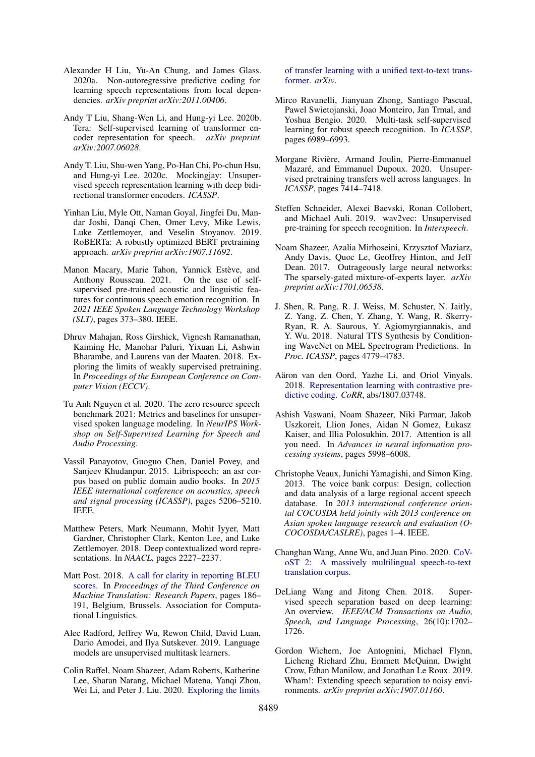- <span id="page-10-22"></span>Alexander H Liu, Yu-An Chung, and James Glass. 2020a. Non-autoregressive predictive coding for learning speech representations from local dependencies. *arXiv preprint arXiv:2011.00406*.
- <span id="page-10-7"></span>Andy T Liu, Shang-Wen Li, and Hung-yi Lee. 2020b. Tera: Self-supervised learning of transformer encoder representation for speech. *arXiv preprint arXiv:2007.06028*.
- <span id="page-10-6"></span>Andy T. Liu, Shu-wen Yang, Po-Han Chi, Po-chun Hsu, and Hung-yi Lee. 2020c. Mockingjay: Unsupervised speech representation learning with deep bidirectional transformer encoders. *ICASSP*.
- <span id="page-10-1"></span>Yinhan Liu, Myle Ott, Naman Goyal, Jingfei Du, Mandar Joshi, Danqi Chen, Omer Levy, Mike Lewis, Luke Zettlemoyer, and Veselin Stoyanov. 2019. RoBERTa: A robustly optimized BERT pretraining approach. *arXiv preprint arXiv:1907.11692*.
- <span id="page-10-12"></span>Manon Macary, Marie Tahon, Yannick Estève, and Anthony Rousseau. 2021. On the use of selfsupervised pre-trained acoustic and linguistic features for continuous speech emotion recognition. In *2021 IEEE Spoken Language Technology Workshop (SLT)*, pages 373–380. IEEE.
- <span id="page-10-10"></span>Dhruv Mahajan, Ross Girshick, Vignesh Ramanathan, Kaiming He, Manohar Paluri, Yixuan Li, Ashwin Bharambe, and Laurens van der Maaten. 2018. Exploring the limits of weakly supervised pretraining. In *Proceedings of the European Conference on Computer Vision (ECCV)*.
- <span id="page-10-13"></span>Tu Anh Nguyen et al. 2020. The zero resource speech benchmark 2021: Metrics and baselines for unsupervised spoken language modeling. In *NeurIPS Workshop on Self-Supervised Learning for Speech and Audio Processing*.
- <span id="page-10-17"></span>Vassil Panayotov, Guoguo Chen, Daniel Povey, and Sanjeev Khudanpur. 2015. Librispeech: an asr corpus based on public domain audio books. In *2015 IEEE international conference on acoustics, speech and signal processing (ICASSP)*, pages 5206–5210. IEEE.
- <span id="page-10-0"></span>Matthew Peters, Mark Neumann, Mohit Iyyer, Matt Gardner, Christopher Clark, Kenton Lee, and Luke Zettlemoyer. 2018. Deep contextualized word representations. In *NAACL*, pages 2227–2237.
- <span id="page-10-15"></span>Matt Post. 2018. [A call for clarity in reporting BLEU](https://www.aclweb.org/anthology/W18-6319) [scores.](https://www.aclweb.org/anthology/W18-6319) In *Proceedings of the Third Conference on Machine Translation: Research Papers*, pages 186– 191, Belgium, Brussels. Association for Computational Linguistics.
- <span id="page-10-11"></span>Alec Radford, Jeffrey Wu, Rewon Child, David Luan, Dario Amodei, and Ilya Sutskever. 2019. Language models are unsupervised multitask learners.
- <span id="page-10-2"></span>Colin Raffel, Noam Shazeer, Adam Roberts, Katherine Lee, Sharan Narang, Michael Matena, Yanqi Zhou, Wei Li, and Peter J. Liu. 2020. [Exploring the limits](http://arxiv.org/abs/1910.10683)

[of transfer learning with a unified text-to-text trans](http://arxiv.org/abs/1910.10683)[former.](http://arxiv.org/abs/1910.10683) *arXiv*.

- <span id="page-10-8"></span>Mirco Ravanelli, Jianyuan Zhong, Santiago Pascual, Pawel Swietojanski, Joao Monteiro, Jan Trmal, and Yoshua Bengio. 2020. Multi-task self-supervised learning for robust speech recognition. In *ICASSP*, pages 6989–6993.
- <span id="page-10-4"></span>Morgane Rivière, Armand Joulin, Pierre-Emmanuel Mazaré, and Emmanuel Dupoux. 2020. Unsupervised pretraining transfers well across languages. In *ICASSP*, pages 7414–7418.
- <span id="page-10-5"></span>Steffen Schneider, Alexei Baevski, Ronan Collobert, and Michael Auli. 2019. wav2vec: Unsupervised pre-training for speech recognition. In *Interspeech*.
- <span id="page-10-9"></span>Noam Shazeer, Azalia Mirhoseini, Krzysztof Maziarz, Andy Davis, Quoc Le, Geoffrey Hinton, and Jeff Dean. 2017. Outrageously large neural networks: The sparsely-gated mixture-of-experts layer. *arXiv preprint arXiv:1701.06538*.
- <span id="page-10-18"></span>J. Shen, R. Pang, R. J. Weiss, M. Schuster, N. Jaitly, Z. Yang, Z. Chen, Y. Zhang, Y. Wang, R. Skerry-Ryan, R. A. Saurous, Y. Agiomyrgiannakis, and Y. Wu. 2018. Natural TTS Synthesis by Conditioning WaveNet on MEL Spectrogram Predictions. In *Proc. ICASSP*, pages 4779–4783.
- <span id="page-10-3"></span>Aäron van den Oord, Yazhe Li, and Oriol Vinyals. 2018. [Representation learning with contrastive pre](http://arxiv.org/abs/1807.03748)[dictive coding.](http://arxiv.org/abs/1807.03748) *CoRR*, abs/1807.03748.
- <span id="page-10-16"></span>Ashish Vaswani, Noam Shazeer, Niki Parmar, Jakob Uszkoreit, Llion Jones, Aidan N Gomez, Łukasz Kaiser, and Illia Polosukhin. 2017. Attention is all you need. In *Advances in neural information processing systems*, pages 5998–6008.
- <span id="page-10-21"></span>Christophe Veaux, Junichi Yamagishi, and Simon King. 2013. The voice bank corpus: Design, collection and data analysis of a large regional accent speech database. In *2013 international conference oriental COCOSDA held jointly with 2013 conference on Asian spoken language research and evaluation (O-COCOSDA/CASLRE)*, pages 1–4. IEEE.
- <span id="page-10-14"></span>Changhan Wang, Anne Wu, and Juan Pino. 2020. [CoV](http://arxiv.org/abs/2007.10310)[oST 2: A massively multilingual speech-to-text](http://arxiv.org/abs/2007.10310) [translation corpus.](http://arxiv.org/abs/2007.10310)
- <span id="page-10-19"></span>DeLiang Wang and Jitong Chen. 2018. Supervised speech separation based on deep learning: An overview. *IEEE/ACM Transactions on Audio, Speech, and Language Processing*, 26(10):1702– 1726.
- <span id="page-10-20"></span>Gordon Wichern, Joe Antognini, Michael Flynn, Licheng Richard Zhu, Emmett McQuinn, Dwight Crow, Ethan Manilow, and Jonathan Le Roux. 2019. Wham!: Extending speech separation to noisy environments. *arXiv preprint arXiv:1907.01160*.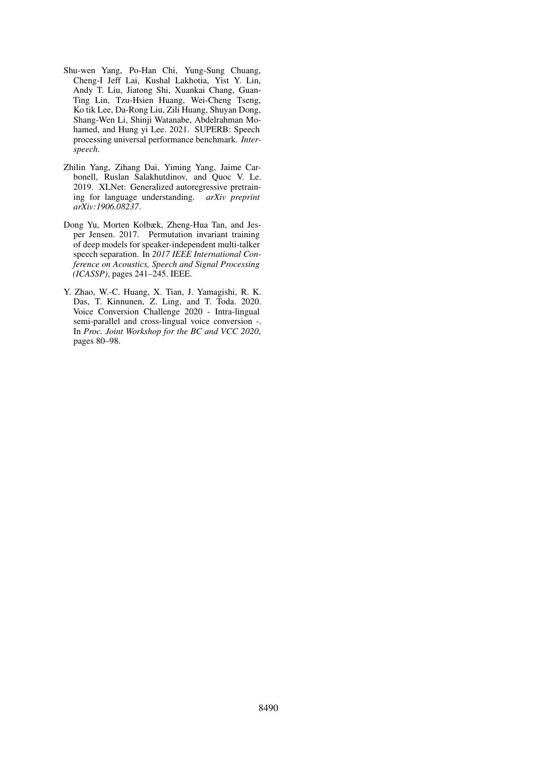- <span id="page-11-1"></span>Shu-wen Yang, Po-Han Chi, Yung-Sung Chuang, Cheng-I Jeff Lai, Kushal Lakhotia, Yist Y. Lin, Andy T. Liu, Jiatong Shi, Xuankai Chang, Guan-Ting Lin, Tzu-Hsien Huang, Wei-Cheng Tseng, Ko tik Lee, Da-Rong Liu, Zili Huang, Shuyan Dong, Shang-Wen Li, Shinji Watanabe, Abdelrahman Mohamed, and Hung yi Lee. 2021. SUPERB: Speech processing universal performance benchmark. *Interspeech*.
- <span id="page-11-0"></span>Zhilin Yang, Zihang Dai, Yiming Yang, Jaime Carbonell, Ruslan Salakhutdinov, and Quoc V. Le. 2019. XLNet: Generalized autoregressive pretraining for language understanding. *arXiv preprint arXiv:1906.08237*.
- <span id="page-11-3"></span>Dong Yu, Morten Kolbæk, Zheng-Hua Tan, and Jesper Jensen. 2017. Permutation invariant training of deep models for speaker-independent multi-talker speech separation. In *2017 IEEE International Conference on Acoustics, Speech and Signal Processing (ICASSP)*, pages 241–245. IEEE.
- <span id="page-11-2"></span>Y. Zhao, W.-C. Huang, X. Tian, J. Yamagishi, R. K. Das, T. Kinnunen, Z. Ling, and T. Toda. 2020. Voice Conversion Challenge 2020 - Intra-lingual semi-parallel and cross-lingual voice conversion -. In *Proc. Joint Workshop for the BC and VCC 2020*, pages 80–98.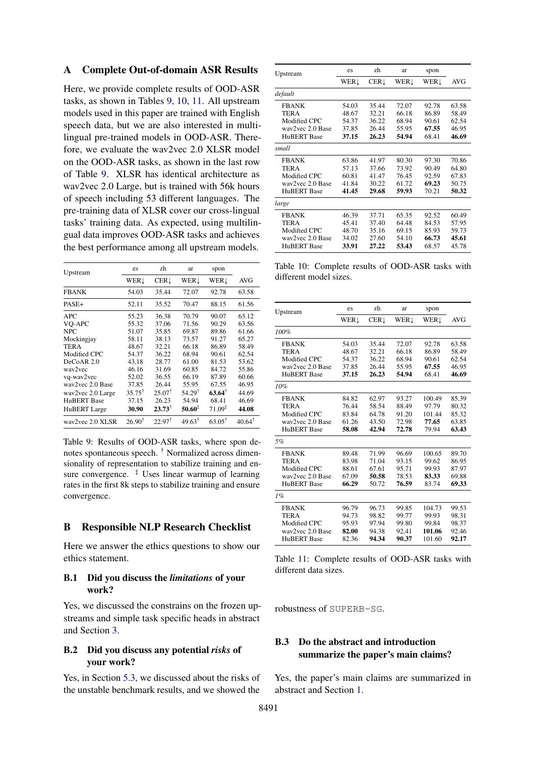### <span id="page-12-0"></span>A Complete Out-of-domain ASR Results

Here, we provide complete results of OOD-ASR tasks, as shown in Tables [9,](#page-12-2) [10,](#page-12-3) [11.](#page-12-4) All upstream models used in this paper are trained with English speech data, but we are also interested in multilingual pre-trained models in OOD-ASR. Therefore, we evaluate the wav2vec 2.0 XLSR model on the OOD-ASR tasks, as shown in the last row of Table [9.](#page-12-2) XLSR has identical architecture as wav2vec 2.0 Large, but is trained with 56k hours of speech including 53 different languages. The pre-training data of XLSR cover our cross-lingual tasks' training data. As expected, using multilingual data improves OOD-ASR tasks and achieves the best performance among all upstream models.

<span id="page-12-2"></span>

| Upstream            | es                | zh                | ar                | spon               |                   |
|---------------------|-------------------|-------------------|-------------------|--------------------|-------------------|
|                     | WERL              | <b>CER1</b>       | WERL              | WER!               | <b>AVG</b>        |
| <b>FBANK</b>        | 54.03             | 35.44             | 72.07             | 92.78              | 63.58             |
| PASE+               | 52.11             | 35.52             | 70.47             | 88.15              | 61.56             |
| APC                 | 55.23             | 36.38             | 70.79             | 90.07              | 63.12             |
| VO-APC              | 55.32             | 37.06             | 71.56             | 90.29              | 63.56             |
| <b>NPC</b>          | 51.07             | 35.85             | 69.87             | 89.86              | 61.66             |
| Mockingjay          | 58.11             | 38.13             | 73.57             | 91.27              | 65.27             |
| <b>TERA</b>         | 48.67             | 32.21             | 66.18             | 86.89              | 58.49             |
| Modified CPC        | 54.37             | 36.22             | 68.94             | 90.61              | 62.54             |
| DeCoAR 2.0          | 43.18             | 28.77             | 61.00             | 81.53              | 53.62             |
| way2yec             | 46.16             | 31.69             | 60.85             | 84.72              | 55.86             |
| vq-wav2vec          | 52.02             | 36.55             | 66.19             | 87.89              | 60.66             |
| way2yec 2.0 Base    | 37.85             | 26.44             | 55.95             | 67.55              | 46.95             |
| wav2vec 2.0 Large   | $35.75^{\dagger}$ | $25.07^{\dagger}$ | $54.29^{\dagger}$ | $63.64^{\dagger}$  | 44.69             |
| <b>HuBERT</b> Base  | 37.15             | 26.23             | 54.94             | 68.41              | 46.69             |
| <b>HuBERT</b> Large | 30.90             | $23.73^{\dagger}$ | $50.60^\ddag$     | $71.09^{\ddagger}$ | 44.08             |
| way2yec 2.0 XLSR    | $26.90^{\dagger}$ | $22.97^{\dagger}$ | $49.63^{\dagger}$ | $63.05^{\dagger}$  | $40.64^{\dagger}$ |

Table 9: Results of OOD-ASR tasks, where spon denotes spontaneous speech.  $\dagger$  Normalized across dimensionality of representation to stabilize training and ensure convergence.  $\frac{1}{2}$  Uses linear warmup of learning rates in the first 8k steps to stabilize training and ensure convergence.

#### <span id="page-12-1"></span>B Responsible NLP Research Checklist

Here we answer the ethics questions to show our ethics statement.

### B.1 Did you discuss the *limitations* of your work?

Yes, we discussed the constrains on the frozen upstreams and simple task specific heads in abstract and Section [3.](#page-2-1)

### B.2 Did you discuss any potential *risks* of your work?

Yes, in Section [5.3,](#page-6-2) we discussed about the risks of the unstable benchmark results, and we showed the

<span id="page-12-3"></span>

| Upstream           | es    | zh          | ar    | spon  |       |
|--------------------|-------|-------------|-------|-------|-------|
|                    | WERL  | <b>CER1</b> | WER!  | WER!  | AVG   |
| default            |       |             |       |       |       |
| <b>FBANK</b>       | 54.03 | 35.44       | 72.07 | 92.78 | 63.58 |
| <b>TERA</b>        | 48.67 | 32.21       | 66.18 | 86.89 | 58.49 |
| Modified CPC       | 54.37 | 36.22       | 68.94 | 90.61 | 62.54 |
| wav2vec 2.0 Base   | 37.85 | 26.44       | 55.95 | 67.55 | 46.95 |
| <b>HuBERT</b> Base | 37.15 | 26.23       | 54.94 | 68.41 | 46.69 |
| small              |       |             |       |       |       |
| <b>FRANK</b>       | 63.86 | 41.97       | 80.30 | 97.30 | 70.86 |
| TERA               | 57.13 | 37.66       | 73.92 | 90.49 | 64.80 |
| Modified CPC       | 60.81 | 41.47       | 76.45 | 92.59 | 67.83 |
| way2yec 2.0 Base   | 41.84 | 30.22       | 61.72 | 69.23 | 50.75 |
| <b>HuBERT</b> Base | 41.45 | 29.68       | 59.93 | 70.21 | 50.32 |
| large              |       |             |       |       |       |
| <b>FRANK</b>       | 46.39 | 37 71       | 65 35 | 92.52 | 60.49 |
| TERA               | 45.41 | 37.40       | 64.48 | 84.53 | 57.95 |
| Modified CPC       | 48.70 | 35.16       | 69.15 | 85.93 | 59.73 |
| wav2vec 2.0 Base   | 34.02 | 27.60       | 54.10 | 66.73 | 45.61 |
| <b>HuBERT Base</b> | 33.91 | 27.22       | 53.43 | 68.57 | 45.78 |

Table 10: Complete results of OOD-ASR tasks with different model sizes.

<span id="page-12-4"></span>

| Upstream           | es    | zh          | ar    | spon   |       |
|--------------------|-------|-------------|-------|--------|-------|
|                    | WERL  | <b>CER1</b> | WER!  | WERL   | AVG   |
| 100%               |       |             |       |        |       |
| <b>FRANK</b>       | 54.03 | 35.44       | 72.07 | 92.78  | 63.58 |
| <b>TERA</b>        | 48.67 | 32.21       | 66.18 | 86.89  | 58.49 |
| Modified CPC       | 54.37 | 36.22       | 68.94 | 90.61  | 62.54 |
| way2yec 2.0 Base   | 37.85 | 26.44       | 55.95 | 67.55  | 46.95 |
| <b>HuBERT</b> Base | 37.15 | 26.23       | 54.94 | 68.41  | 46.69 |
| 10%                |       |             |       |        |       |
| <b>FRANK</b>       | 84.82 | 62.97       | 93.27 | 100.49 | 85.39 |
| <b>TERA</b>        | 76.44 | 58.54       | 88.49 | 97.79  | 80.32 |
| Modified CPC       | 83.84 | 64.78       | 91.20 | 101.44 | 85.32 |
| way2yec 2.0 Base   | 61.26 | 43.50       | 72.98 | 77.65  | 63.85 |
| <b>HuBERT</b> Base | 58.08 | 42.94       | 72.78 | 79.94  | 63.43 |
| 5%                 |       |             |       |        |       |
| <b>FBANK</b>       | 89.48 | 71.99       | 96.69 | 100.65 | 89.70 |
| <b>TERA</b>        | 83.98 | 71.04       | 93.15 | 99.62  | 86.95 |
| Modified CPC       | 88.61 | 67.61       | 95.71 | 99.93  | 87.97 |
| way2yec 2.0 Base   | 67.09 | 50.58       | 78.53 | 83.33  | 69.88 |
| <b>HuBERT</b> Base | 66.29 | 50.72       | 76.59 | 83.74  | 69.33 |
| 1%                 |       |             |       |        |       |
| <b>FBANK</b>       | 96.79 | 96.73       | 99.85 | 104.73 | 99.53 |
| <b>TERA</b>        | 94.73 | 98.82       | 99.77 | 99.93  | 98.31 |
| Modified CPC       | 95.93 | 97.94       | 99.80 | 99.84  | 98.37 |
| way2yec 2.0 Base   | 82.00 | 94.38       | 92.41 | 101.06 | 92.46 |
| <b>HuBERT</b> Base | 82.36 | 94.34       | 90.37 | 101.60 | 92.17 |

Table 11: Complete results of OOD-ASR tasks with different data sizes.

robustness of SUPERB-SG.

## B.3 Do the abstract and introduction summarize the paper's main claims?

Yes, the paper's main claims are summarized in abstract and Section [1.](#page-0-1)